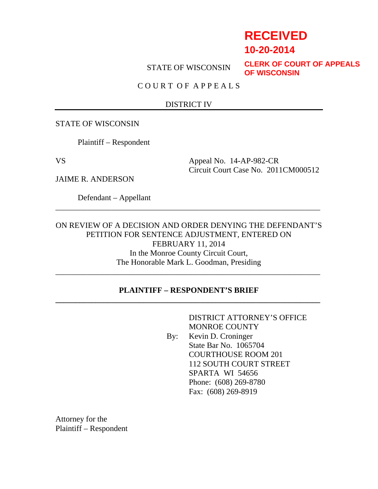# **RECEIVED**

**10-20-2014**

STATE OF WISCONSIN

**CLERK OF COURT OF APPEALS OF WISCONSIN**

C O U R T O F A P P E A L S

#### DISTRICT IV

STATE OF WISCONSIN

Plaintiff – Respondent

VS Appeal No. 14-AP-982-CR Circuit Court Case No. 2011CM000512

JAIME R. ANDERSON

Defendant – Appellant

ON REVIEW OF A DECISION AND ORDER DENYING THE DEFENDANT'S PETITION FOR SENTENCE ADJUSTMENT, ENTERED ON FEBRUARY 11, 2014 In the Monroe County Circuit Court, The Honorable Mark L. Goodman, Presiding \_\_\_\_\_\_\_\_\_\_\_\_\_\_\_\_\_\_\_\_\_\_\_\_\_\_\_\_\_\_\_\_\_\_\_\_\_\_\_\_\_\_\_\_\_\_\_\_\_\_\_\_\_\_\_\_\_\_\_\_\_\_\_\_\_\_

\_\_\_\_\_\_\_\_\_\_\_\_\_\_\_\_\_\_\_\_\_\_\_\_\_\_\_\_\_\_\_\_\_\_\_\_\_\_\_\_\_\_\_\_\_\_\_\_\_\_\_\_\_\_\_\_\_\_\_\_\_\_\_\_\_\_

## **PLAINTIFF – RESPONDENT'S BRIEF \_\_\_\_\_\_\_\_\_\_\_\_\_\_\_\_\_\_\_\_\_\_\_\_\_\_\_\_\_\_\_\_\_\_\_\_\_\_\_\_\_\_\_\_\_\_\_\_\_\_\_\_\_\_\_\_\_\_\_\_\_\_\_\_\_\_**

 DISTRICT ATTORNEY'S OFFICE MONROE COUNTY By: Kevin D. Croninger State Bar No. 1065704 COURTHOUSE ROOM 201 112 SOUTH COURT STREET SPARTA WI 54656 Phone: (608) 269-8780 Fax: (608) 269-8919

Attorney for the Plaintiff – Respondent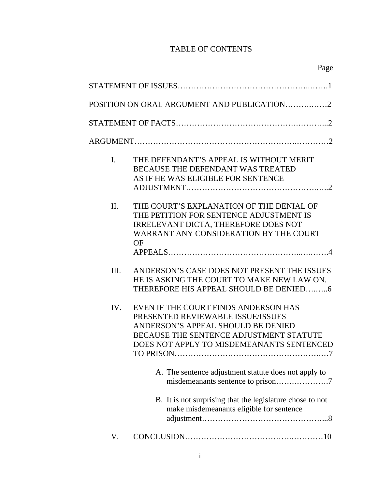## TABLE OF CONTENTS

|         | POSITION ON ORAL ARGUMENT AND PUBLICATION2                                                                                                                                                                           |
|---------|----------------------------------------------------------------------------------------------------------------------------------------------------------------------------------------------------------------------|
|         |                                                                                                                                                                                                                      |
|         |                                                                                                                                                                                                                      |
| I.      | THE DEFENDANT'S APPEAL IS WITHOUT MERIT<br>BECAUSE THE DEFENDANT WAS TREATED<br>AS IF HE WAS ELIGIBLE FOR SENTENCE                                                                                                   |
| $\Pi$ . | THE COURT'S EXPLANATION OF THE DENIAL OF<br>THE PETITION FOR SENTENCE ADJUSTMENT IS<br><b>IRRELEVANT DICTA, THEREFORE DOES NOT</b><br>WARRANT ANY CONSIDERATION BY THE COURT<br>OF                                   |
| Ш.      | ANDERSON'S CASE DOES NOT PRESENT THE ISSUES<br>HE IS ASKING THE COURT TO MAKE NEW LAW ON.<br>THEREFORE HIS APPEAL SHOULD BE DENIED6                                                                                  |
| IV.     | EVEN IF THE COURT FINDS ANDERSON HAS<br>PRESENTED REVIEWABLE ISSUE/ISSUES<br>ANDERSON'S APPEAL SHOULD BE DENIED<br>BECAUSE THE SENTENCE ADJUSTMENT STATUTE<br>DOES NOT APPLY TO MISDEMEANANTS SENTENCED<br>TO PRISON |
|         | A. The sentence adjustment statute does not apply to<br>misdemeanants sentence to prison7                                                                                                                            |
|         | B. It is not surprising that the legislature chose to not<br>make misdemeanants eligible for sentence                                                                                                                |
| V.      |                                                                                                                                                                                                                      |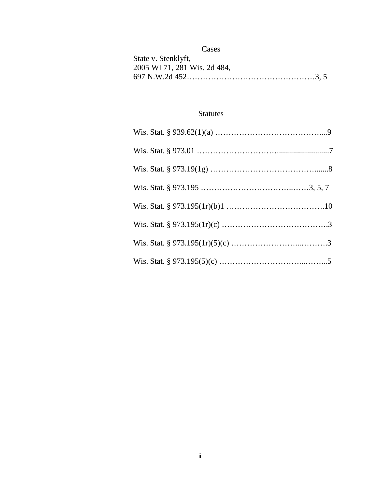## Cases

| State v. Stenklyft,          |
|------------------------------|
| 2005 WI 71, 281 Wis. 2d 484, |
|                              |

## Statutes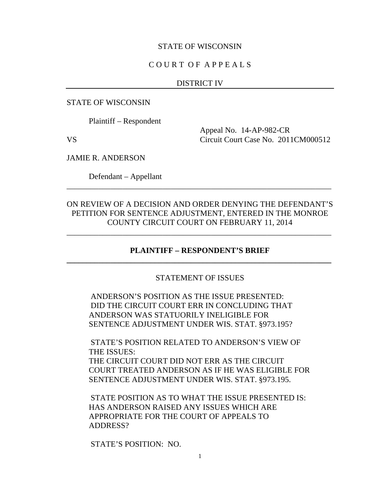#### STATE OF WISCONSIN

### C O U R T O F A P P E A L S

#### DISTRICT IV

STATE OF WISCONSIN

Plaintiff – Respondent

 Appeal No. 14-AP-982-CR VS Circuit Court Case No. 2011CM000512

JAMIE R. ANDERSON

Defendant – Appellant

## ON REVIEW OF A DECISION AND ORDER DENYING THE DEFENDANT'S PETITION FOR SENTENCE ADJUSTMENT, ENTERED IN THE MONROE COUNTY CIRCUIT COURT ON FEBRUARY 11, 2014

\_\_\_\_\_\_\_\_\_\_\_\_\_\_\_\_\_\_\_\_\_\_\_\_\_\_\_\_\_\_\_\_\_\_\_\_\_\_\_\_\_\_\_\_\_\_\_\_\_\_\_\_\_\_\_\_\_\_\_\_\_\_\_\_\_\_

\_\_\_\_\_\_\_\_\_\_\_\_\_\_\_\_\_\_\_\_\_\_\_\_\_\_\_\_\_\_\_\_\_\_\_\_\_\_\_\_\_\_\_\_\_\_\_\_\_\_\_\_\_\_\_\_\_\_\_\_\_\_\_\_\_\_

## **PLAINTIFF – RESPONDENT'S BRIEF \_\_\_\_\_\_\_\_\_\_\_\_\_\_\_\_\_\_\_\_\_\_\_\_\_\_\_\_\_\_\_\_\_\_\_\_\_\_\_\_\_\_\_\_\_\_\_\_\_\_\_\_\_\_\_\_\_\_\_\_\_\_\_\_\_\_**

### STATEMENT OF ISSUES

ANDERSON'S POSITION AS THE ISSUE PRESENTED: DID THE CIRCUIT COURT ERR IN CONCLUDING THAT ANDERSON WAS STATUORILY INELIGIBLE FOR SENTENCE ADJUSTMENT UNDER WIS. STAT. §973.195?

STATE'S POSITION RELATED TO ANDERSON'S VIEW OF THE ISSUES:

THE CIRCUIT COURT DID NOT ERR AS THE CIRCUIT COURT TREATED ANDERSON AS IF HE WAS ELIGIBLE FOR SENTENCE ADJUSTMENT UNDER WIS. STAT. §973.195.

STATE POSITION AS TO WHAT THE ISSUE PRESENTED IS: HAS ANDERSON RAISED ANY ISSUES WHICH ARE APPROPRIATE FOR THE COURT OF APPEALS TO ADDRESS?

STATE'S POSITION: NO.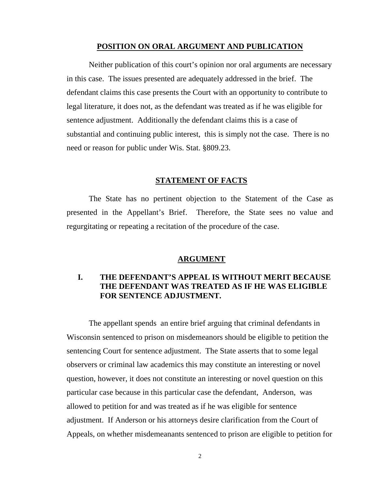#### **POSITION ON ORAL ARGUMENT AND PUBLICATION**

Neither publication of this court's opinion nor oral arguments are necessary in this case. The issues presented are adequately addressed in the brief. The defendant claims this case presents the Court with an opportunity to contribute to legal literature, it does not, as the defendant was treated as if he was eligible for sentence adjustment. Additionally the defendant claims this is a case of substantial and continuing public interest, this is simply not the case. There is no need or reason for public under Wis. Stat. §809.23.

#### **STATEMENT OF FACTS**

 The State has no pertinent objection to the Statement of the Case as presented in the Appellant's Brief. Therefore, the State sees no value and regurgitating or repeating a recitation of the procedure of the case.

#### **ARGUMENT**

## **I. THE DEFENDANT'S APPEAL IS WITHOUT MERIT BECAUSE THE DEFENDANT WAS TREATED AS IF HE WAS ELIGIBLE FOR SENTENCE ADJUSTMENT.**

 The appellant spends an entire brief arguing that criminal defendants in Wisconsin sentenced to prison on misdemeanors should be eligible to petition the sentencing Court for sentence adjustment. The State asserts that to some legal observers or criminal law academics this may constitute an interesting or novel question, however, it does not constitute an interesting or novel question on this particular case because in this particular case the defendant, Anderson, was allowed to petition for and was treated as if he was eligible for sentence adjustment. If Anderson or his attorneys desire clarification from the Court of Appeals, on whether misdemeanants sentenced to prison are eligible to petition for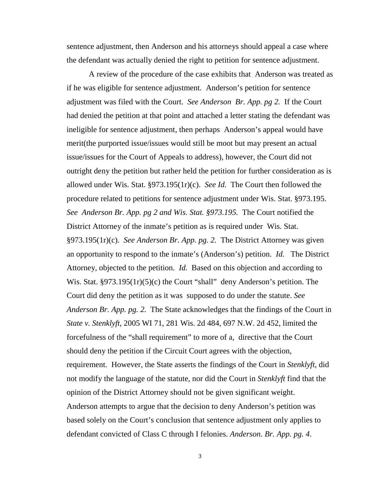sentence adjustment, then Anderson and his attorneys should appeal a case where the defendant was actually denied the right to petition for sentence adjustment.

 A review of the procedure of the case exhibits that Anderson was treated as if he was eligible for sentence adjustment. Anderson's petition for sentence adjustment was filed with the Court. *See Anderson Br. App. pg 2.* If the Court had denied the petition at that point and attached a letter stating the defendant was ineligible for sentence adjustment, then perhaps Anderson's appeal would have merit(the purported issue/issues would still be moot but may present an actual issue/issues for the Court of Appeals to address), however, the Court did not outright deny the petition but rather held the petition for further consideration as is allowed under Wis. Stat. §973.195(1r)(c). *See Id.* The Court then followed the procedure related to petitions for sentence adjustment under Wis. Stat. §973.195. *See Anderson Br. App. pg 2 and Wis. Stat. §973.195.* The Court notified the District Attorney of the inmate's petition as is required under Wis. Stat. §973.195(1r)(c). *See Anderson Br. App. pg. 2.* The District Attorney was given an opportunity to respond to the inmate's (Anderson's) petition. *Id.* The District Attorney, objected to the petition. *Id.* Based on this objection and according to Wis. Stat. §973.195(1r)(5)(c) the Court "shall" deny Anderson's petition. The Court did deny the petition as it was supposed to do under the statute. *See Anderson Br. App. pg. 2.* The State acknowledges that the findings of the Court in *State v. Stenklyft*, 2005 WI 71, 281 Wis. 2d 484, 697 N.W. 2d 452, limited the forcefulness of the "shall requirement" to more of a, directive that the Court should deny the petition if the Circuit Court agrees with the objection, requirement. However, the State asserts the findings of the Court in *Stenklyft*, did not modify the language of the statute, nor did the Court in *Stenklyft* find that the opinion of the District Attorney should not be given significant weight. Anderson attempts to argue that the decision to deny Anderson's petition was based solely on the Court's conclusion that sentence adjustment only applies to defendant convicted of Class C through I felonies. *Anderson. Br. App. pg. 4*.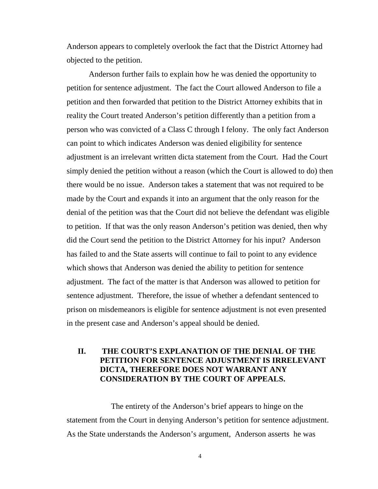Anderson appears to completely overlook the fact that the District Attorney had objected to the petition.

 Anderson further fails to explain how he was denied the opportunity to petition for sentence adjustment. The fact the Court allowed Anderson to file a petition and then forwarded that petition to the District Attorney exhibits that in reality the Court treated Anderson's petition differently than a petition from a person who was convicted of a Class C through I felony. The only fact Anderson can point to which indicates Anderson was denied eligibility for sentence adjustment is an irrelevant written dicta statement from the Court. Had the Court simply denied the petition without a reason (which the Court is allowed to do) then there would be no issue. Anderson takes a statement that was not required to be made by the Court and expands it into an argument that the only reason for the denial of the petition was that the Court did not believe the defendant was eligible to petition. If that was the only reason Anderson's petition was denied, then why did the Court send the petition to the District Attorney for his input? Anderson has failed to and the State asserts will continue to fail to point to any evidence which shows that Anderson was denied the ability to petition for sentence adjustment. The fact of the matter is that Anderson was allowed to petition for sentence adjustment. Therefore, the issue of whether a defendant sentenced to prison on misdemeanors is eligible for sentence adjustment is not even presented in the present case and Anderson's appeal should be denied.

## **II. THE COURT'S EXPLANATION OF THE DENIAL OF THE PETITION FOR SENTENCE ADJUSTMENT IS IRRELEVANT DICTA, THEREFORE DOES NOT WARRANT ANY CONSIDERATION BY THE COURT OF APPEALS.**

The entirety of the Anderson's brief appears to hinge on the statement from the Court in denying Anderson's petition for sentence adjustment. As the State understands the Anderson's argument, Anderson asserts he was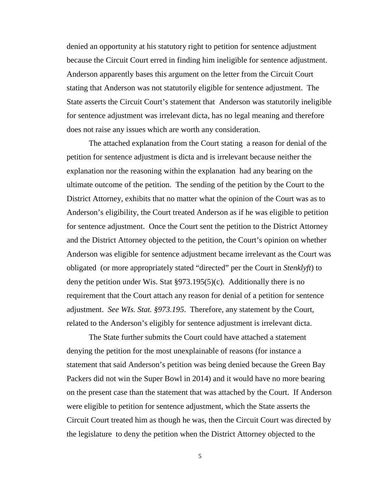denied an opportunity at his statutory right to petition for sentence adjustment because the Circuit Court erred in finding him ineligible for sentence adjustment. Anderson apparently bases this argument on the letter from the Circuit Court stating that Anderson was not statutorily eligible for sentence adjustment. The State asserts the Circuit Court's statement that Anderson was statutorily ineligible for sentence adjustment was irrelevant dicta, has no legal meaning and therefore does not raise any issues which are worth any consideration.

 The attached explanation from the Court stating a reason for denial of the petition for sentence adjustment is dicta and is irrelevant because neither the explanation nor the reasoning within the explanation had any bearing on the ultimate outcome of the petition. The sending of the petition by the Court to the District Attorney, exhibits that no matter what the opinion of the Court was as to Anderson's eligibility, the Court treated Anderson as if he was eligible to petition for sentence adjustment. Once the Court sent the petition to the District Attorney and the District Attorney objected to the petition, the Court's opinion on whether Anderson was eligible for sentence adjustment became irrelevant as the Court was obligated (or more appropriately stated "directed" per the Court in *Stenklyft*) to deny the petition under Wis. Stat §973.195(5)(c). Additionally there is no requirement that the Court attach any reason for denial of a petition for sentence adjustment. *See WIs. Stat. §973.195*. Therefore, any statement by the Court, related to the Anderson's eligibly for sentence adjustment is irrelevant dicta.

 The State further submits the Court could have attached a statement denying the petition for the most unexplainable of reasons (for instance a statement that said Anderson's petition was being denied because the Green Bay Packers did not win the Super Bowl in 2014) and it would have no more bearing on the present case than the statement that was attached by the Court. If Anderson were eligible to petition for sentence adjustment, which the State asserts the Circuit Court treated him as though he was, then the Circuit Court was directed by the legislature to deny the petition when the District Attorney objected to the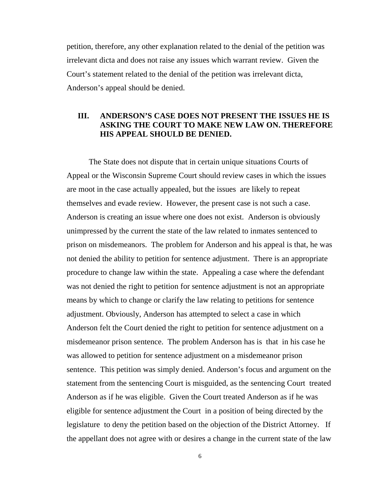petition, therefore, any other explanation related to the denial of the petition was irrelevant dicta and does not raise any issues which warrant review. Given the Court's statement related to the denial of the petition was irrelevant dicta, Anderson's appeal should be denied.

## **III. ANDERSON'S CASE DOES NOT PRESENT THE ISSUES HE IS ASKING THE COURT TO MAKE NEW LAW ON. THEREFORE HIS APPEAL SHOULD BE DENIED.**

 The State does not dispute that in certain unique situations Courts of Appeal or the Wisconsin Supreme Court should review cases in which the issues are moot in the case actually appealed, but the issues are likely to repeat themselves and evade review. However, the present case is not such a case. Anderson is creating an issue where one does not exist. Anderson is obviously unimpressed by the current the state of the law related to inmates sentenced to prison on misdemeanors. The problem for Anderson and his appeal is that, he was not denied the ability to petition for sentence adjustment. There is an appropriate procedure to change law within the state. Appealing a case where the defendant was not denied the right to petition for sentence adjustment is not an appropriate means by which to change or clarify the law relating to petitions for sentence adjustment. Obviously, Anderson has attempted to select a case in which Anderson felt the Court denied the right to petition for sentence adjustment on a misdemeanor prison sentence. The problem Anderson has is that in his case he was allowed to petition for sentence adjustment on a misdemeanor prison sentence. This petition was simply denied. Anderson's focus and argument on the statement from the sentencing Court is misguided, as the sentencing Court treated Anderson as if he was eligible. Given the Court treated Anderson as if he was eligible for sentence adjustment the Court in a position of being directed by the legislature to deny the petition based on the objection of the District Attorney. If the appellant does not agree with or desires a change in the current state of the law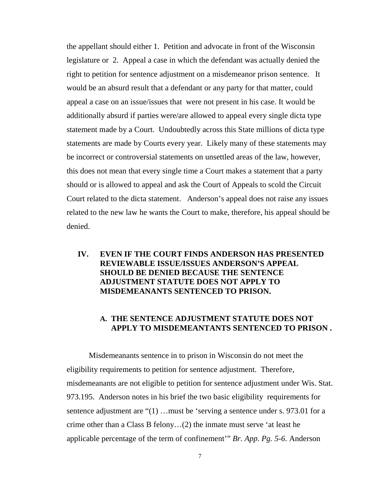the appellant should either 1. Petition and advocate in front of the Wisconsin legislature or 2. Appeal a case in which the defendant was actually denied the right to petition for sentence adjustment on a misdemeanor prison sentence. It would be an absurd result that a defendant or any party for that matter, could appeal a case on an issue/issues that were not present in his case. It would be additionally absurd if parties were/are allowed to appeal every single dicta type statement made by a Court. Undoubtedly across this State millions of dicta type statements are made by Courts every year. Likely many of these statements may be incorrect or controversial statements on unsettled areas of the law, however, this does not mean that every single time a Court makes a statement that a party should or is allowed to appeal and ask the Court of Appeals to scold the Circuit Court related to the dicta statement. Anderson's appeal does not raise any issues related to the new law he wants the Court to make, therefore, his appeal should be denied.

## **IV. EVEN IF THE COURT FINDS ANDERSON HAS PRESENTED REVIEWABLE ISSUE/ISSUES ANDERSON'S APPEAL SHOULD BE DENIED BECAUSE THE SENTENCE ADJUSTMENT STATUTE DOES NOT APPLY TO MISDEMEANANTS SENTENCED TO PRISON.**

## **A. THE SENTENCE ADJUSTMENT STATUTE DOES NOT APPLY TO MISDEMEANTANTS SENTENCED TO PRISON .**

 Misdemeanants sentence in to prison in Wisconsin do not meet the eligibility requirements to petition for sentence adjustment. Therefore, misdemeanants are not eligible to petition for sentence adjustment under Wis. Stat. 973.195. Anderson notes in his brief the two basic eligibility requirements for sentence adjustment are "(1) ... must be 'serving a sentence under s. 973.01 for a crime other than a Class B felony…(2) the inmate must serve 'at least he applicable percentage of the term of confinement'" *Br. App. Pg. 5-6*. Anderson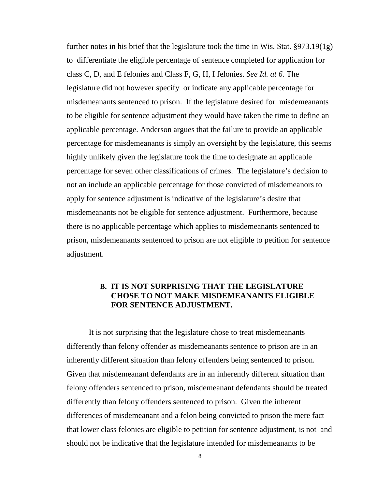further notes in his brief that the legislature took the time in Wis. Stat. §973.19(1g) to differentiate the eligible percentage of sentence completed for application for class C, D, and E felonies and Class F, G, H, I felonies. *See Id. at 6.* The legislature did not however specify or indicate any applicable percentage for misdemeanants sentenced to prison. If the legislature desired for misdemeanants to be eligible for sentence adjustment they would have taken the time to define an applicable percentage. Anderson argues that the failure to provide an applicable percentage for misdemeanants is simply an oversight by the legislature, this seems highly unlikely given the legislature took the time to designate an applicable percentage for seven other classifications of crimes. The legislature's decision to not an include an applicable percentage for those convicted of misdemeanors to apply for sentence adjustment is indicative of the legislature's desire that misdemeanants not be eligible for sentence adjustment. Furthermore, because there is no applicable percentage which applies to misdemeanants sentenced to prison, misdemeanants sentenced to prison are not eligible to petition for sentence adjustment.

## **B. IT IS NOT SURPRISING THAT THE LEGISLATURE CHOSE TO NOT MAKE MISDEMEANANTS ELIGIBLE FOR SENTENCE ADJUSTMENT.**

 It is not surprising that the legislature chose to treat misdemeanants differently than felony offender as misdemeanants sentence to prison are in an inherently different situation than felony offenders being sentenced to prison. Given that misdemeanant defendants are in an inherently different situation than felony offenders sentenced to prison, misdemeanant defendants should be treated differently than felony offenders sentenced to prison. Given the inherent differences of misdemeanant and a felon being convicted to prison the mere fact that lower class felonies are eligible to petition for sentence adjustment, is not and should not be indicative that the legislature intended for misdemeanants to be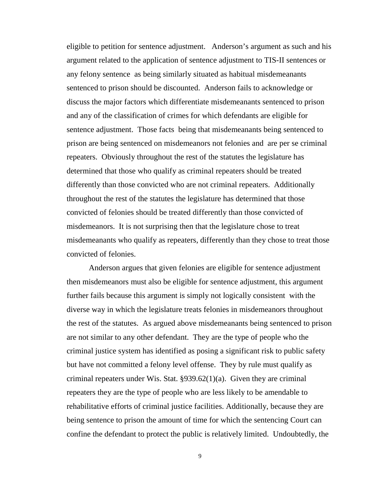eligible to petition for sentence adjustment. Anderson's argument as such and his argument related to the application of sentence adjustment to TIS-II sentences or any felony sentence as being similarly situated as habitual misdemeanants sentenced to prison should be discounted. Anderson fails to acknowledge or discuss the major factors which differentiate misdemeanants sentenced to prison and any of the classification of crimes for which defendants are eligible for sentence adjustment. Those facts being that misdemeanants being sentenced to prison are being sentenced on misdemeanors not felonies and are per se criminal repeaters. Obviously throughout the rest of the statutes the legislature has determined that those who qualify as criminal repeaters should be treated differently than those convicted who are not criminal repeaters. Additionally throughout the rest of the statutes the legislature has determined that those convicted of felonies should be treated differently than those convicted of misdemeanors. It is not surprising then that the legislature chose to treat misdemeanants who qualify as repeaters, differently than they chose to treat those convicted of felonies.

 Anderson argues that given felonies are eligible for sentence adjustment then misdemeanors must also be eligible for sentence adjustment, this argument further fails because this argument is simply not logically consistent with the diverse way in which the legislature treats felonies in misdemeanors throughout the rest of the statutes. As argued above misdemeanants being sentenced to prison are not similar to any other defendant. They are the type of people who the criminal justice system has identified as posing a significant risk to public safety but have not committed a felony level offense. They by rule must qualify as criminal repeaters under Wis. Stat.  $\S 939.62(1)(a)$ . Given they are criminal repeaters they are the type of people who are less likely to be amendable to rehabilitative efforts of criminal justice facilities. Additionally, because they are being sentence to prison the amount of time for which the sentencing Court can confine the defendant to protect the public is relatively limited. Undoubtedly, the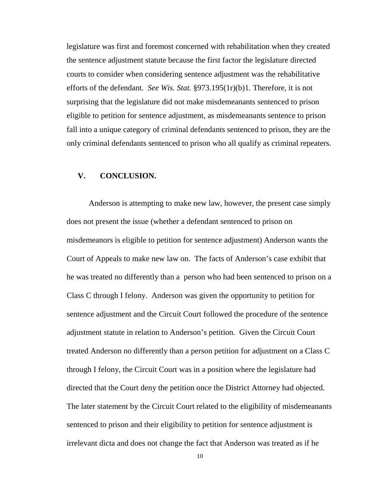legislature was first and foremost concerned with rehabilitation when they created the sentence adjustment statute because the first factor the legislature directed courts to consider when considering sentence adjustment was the rehabilitative efforts of the defendant. *See Wis. Stat.* §973.195(1r)(b)1. Therefore, it is not surprising that the legislature did not make misdemeanants sentenced to prison eligible to petition for sentence adjustment, as misdemeanants sentence to prison fall into a unique category of criminal defendants sentenced to prison, they are the only criminal defendants sentenced to prison who all qualify as criminal repeaters.

## **V. CONCLUSION.**

 Anderson is attempting to make new law, however, the present case simply does not present the issue (whether a defendant sentenced to prison on misdemeanors is eligible to petition for sentence adjustment) Anderson wants the Court of Appeals to make new law on. The facts of Anderson's case exhibit that he was treated no differently than a person who had been sentenced to prison on a Class C through I felony. Anderson was given the opportunity to petition for sentence adjustment and the Circuit Court followed the procedure of the sentence adjustment statute in relation to Anderson's petition. Given the Circuit Court treated Anderson no differently than a person petition for adjustment on a Class C through I felony, the Circuit Court was in a position where the legislature had directed that the Court deny the petition once the District Attorney had objected. The later statement by the Circuit Court related to the eligibility of misdemeanants sentenced to prison and their eligibility to petition for sentence adjustment is irrelevant dicta and does not change the fact that Anderson was treated as if he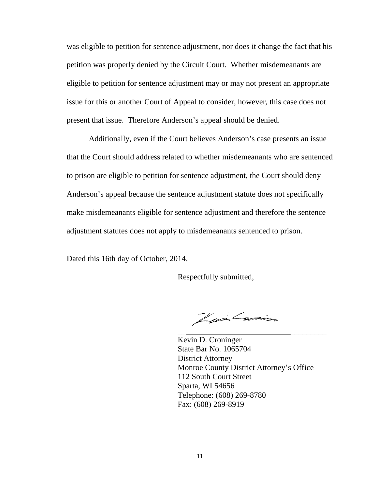was eligible to petition for sentence adjustment, nor does it change the fact that his petition was properly denied by the Circuit Court. Whether misdemeanants are eligible to petition for sentence adjustment may or may not present an appropriate issue for this or another Court of Appeal to consider, however, this case does not present that issue. Therefore Anderson's appeal should be denied.

 Additionally, even if the Court believes Anderson's case presents an issue that the Court should address related to whether misdemeanants who are sentenced to prison are eligible to petition for sentence adjustment, the Court should deny Anderson's appeal because the sentence adjustment statute does not specifically make misdemeanants eligible for sentence adjustment and therefore the sentence adjustment statutes does not apply to misdemeanants sentenced to prison.

Dated this 16th day of October, 2014.

Respectfully submitted,

 $\overline{\phantom{a}}$  , which is a set of the contract of the contract of the contract of the contract of the contract of the contract of the contract of the contract of the contract of the contract of the contract of the contract

Zur Carin

 Kevin D. Croninger State Bar No. 1065704 District Attorney Monroe County District Attorney's Office 112 South Court Street Sparta, WI 54656 Telephone: (608) 269-8780 Fax: (608) 269-8919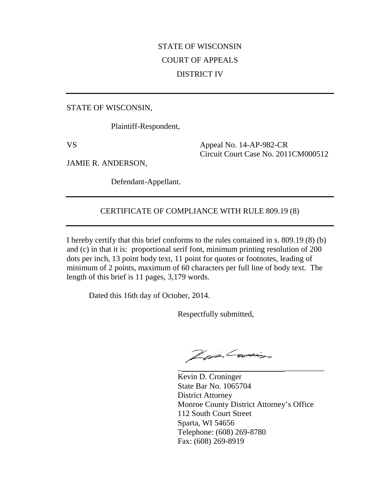## STATE OF WISCONSIN COURT OF APPEALS DISTRICT IV

STATE OF WISCONSIN,

Plaintiff-Respondent,

VS Appeal No. 14-AP-982-CR Circuit Court Case No. 2011CM000512

JAMIE R. ANDERSON,

Defendant-Appellant.

## CERTIFICATE OF COMPLIANCE WITH RULE 809.19 (8)

I hereby certify that this brief conforms to the rules contained in s. 809.19 (8) (b) and (c) in that it is: proportional serif font, minimum printing resolution of 200 dots per inch, 13 point body text, 11 point for quotes or footnotes, leading of minimum of 2 points, maximum of 60 characters per full line of body text. The length of this brief is 11 pages, 3,179 words.

Dated this 16th day of October, 2014.

Respectfully submitted,

 $\frac{1}{2}$  , and the contract of the contract of the contract of the contract of the contract of the contract of the contract of the contract of the contract of the contract of the contract of the contract of the contract

Zwilwin

 Kevin D. Croninger State Bar No. 1065704 District Attorney Monroe County District Attorney's Office 112 South Court Street Sparta, WI 54656 Telephone: (608) 269-8780 Fax: (608) 269-8919